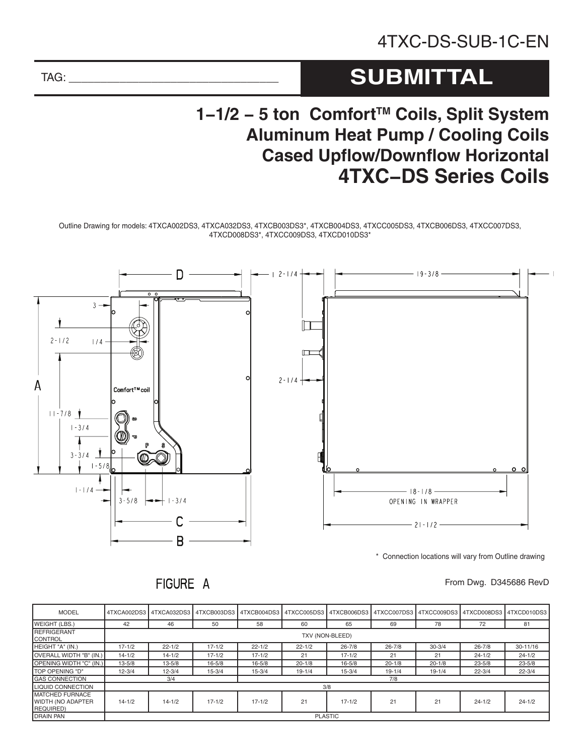# **SUBMITTAL**

## **1-1/2 − 5 ton Comfort<sup>™</sup> Coils, Split System Aluminum Heat Pump / Cooling Coils Cased Upflow/Downflow Horizontal 4TXC-DS Series Coils**

Outline Drawing for models: 4TXCA002DS3, 4TXCA032DS3, 4TXCB003DS3\*, 4TXCB004DS3, 4TXCC005DS3, 4TXCB006DS3, 4TXCC007DS3, 4TXCD008DS3\*, 4TXCC009DS3, 4TXCD010DS3\*



\* Connection locations will vary from Outline drawing

### From Dwg. D345686 RevD

#### MODEL 4TXCA002DS3 4TXCA032DS3 4TXCB003DS3 4TXCB004DS3 4TXCC005DS3 4TXCB006DS3 4TXCC007DS3 4TXCC009DS3 4TXCD008DS3 4TXCD010DS3 WEIGHT (LBS.) | 42 | 46 | 50 | 58 | 60 | 65 | 69 | 78 | 72 | 81 REFRIGERANT<br>CONTROL TXV (NON-BLEED)<br>CONTROL HEIGHT "A" (IN.) | 17-1/2 | 22-1/2 | 17-1/2 | 22-1/2 | 22-1/2 | 26-7/8 | 26-7/8 | 30-3/4 | 26-7/8 | 30-11/16 OVERALL WIDTH "B" (IN.) 14-1/2 14-1/2 17-1/2 17-1/2 17-1/2 21 21 21 24-1/2 21 24-1/2 OPENING WIDTH "C" (IN.) 13-5/8 13-5/8 16-5/8 16-5/8 20-1/8 16-5/8 20-1/8 20-1/8 20-1/8 23-5/8 23-5/8 TOP OPENING "D" | 12-3/4 | 12-3/4 | 15-3/4 | 15-3/4 | 19-1/4 | 15-3/4 | 19-1/4 | 19-1/4 | 22-3/4 | 22-3/4 GAS CONNECTION 3/4 7/8 LIQUID CONNECTION 3/8 MATCHED FURNACE WIDTH (NO ADAPTER REQUIRED) 14-1/2 | 14-1/2 | 17-1/2 | 21 | 17-1/2 | 21 | 21 | 24-1/2 | 24-1/2 DRAIN PAN PLASTIC

FIGURE A

TAG: \_\_\_\_\_\_\_\_\_\_\_\_\_\_\_\_\_\_\_\_\_\_\_\_\_\_\_\_\_\_\_\_\_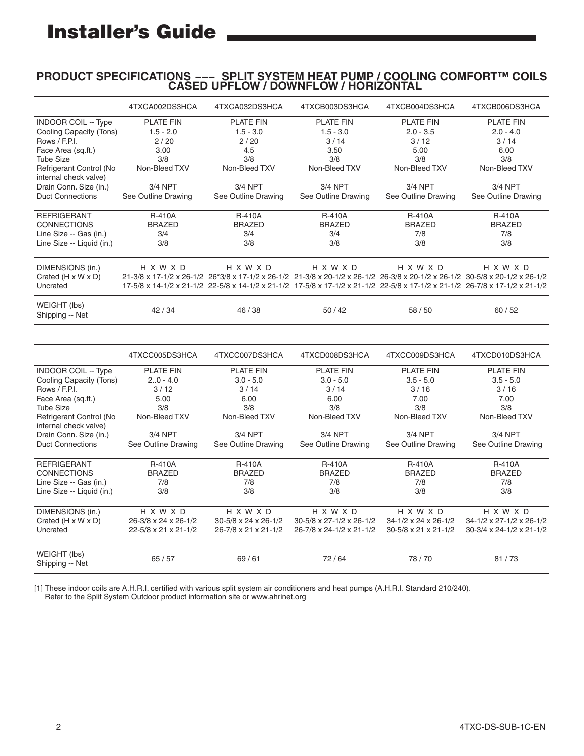# Installer's Guide

### **PRODUCT SPECIFICATIONS --- SPLIT SYSTEM HEAT PUMP / COOLING COMFORT™ COILS CASED UPFLOW / DOWNFLOW / HORIZONTAL**

|                                 | 4TXCA002DS3HCA       | 4TXCA032DS3HCA       | 4TXCB003DS3HCA                                                                                                               | 4TXCB004DS3HCA       | 4TXCB006DS3HCA           |  |
|---------------------------------|----------------------|----------------------|------------------------------------------------------------------------------------------------------------------------------|----------------------|--------------------------|--|
| <b>INDOOR COIL -- Type</b>      | <b>PLATE FIN</b>     | <b>PLATE FIN</b>     | <b>PLATE FIN</b><br><b>PLATE FIN</b>                                                                                         |                      | <b>PLATE FIN</b>         |  |
| Cooling Capacity (Tons)         | $1.5 - 2.0$          | $1.5 - 3.0$          | $1.5 - 3.0$                                                                                                                  | $2.0 - 3.5$          | $2.0 - 4.0$              |  |
| Rows / F.P.I.                   | 2/20                 | 2/20                 | 3/14<br>3/12                                                                                                                 |                      | 3/14                     |  |
| Face Area (sq.ft.)              | 3.00                 | 4.5<br>3.50          |                                                                                                                              | 5.00                 | 6.00                     |  |
| <b>Tube Size</b>                | 3/8                  | 3/8                  | 3/8                                                                                                                          | 3/8                  | 3/8                      |  |
| Refrigerant Control (No         | Non-Bleed TXV        | Non-Bleed TXV        | Non-Bleed TXV                                                                                                                | Non-Bleed TXV        | Non-Bleed TXV            |  |
|                                 |                      |                      |                                                                                                                              |                      |                          |  |
| internal check valve)           |                      |                      |                                                                                                                              |                      |                          |  |
| Drain Conn. Size (in.)          | 3/4 NPT              | 3/4 NPT              | 3/4 NPT                                                                                                                      | 3/4 NPT              | 3/4 NPT                  |  |
| <b>Duct Connections</b>         | See Outline Drawing  | See Outline Drawing  | See Outline Drawing                                                                                                          | See Outline Drawing  | See Outline Drawing      |  |
| <b>REFRIGERANT</b>              | <b>R-410A</b>        | <b>R-410A</b>        | <b>R-410A</b>                                                                                                                | <b>R-410A</b>        | <b>R-410A</b>            |  |
| <b>CONNECTIONS</b>              | <b>BRAZED</b>        | <b>BRAZED</b>        | <b>BRAZED</b>                                                                                                                | <b>BRAZED</b>        |                          |  |
|                                 |                      |                      |                                                                                                                              |                      | <b>BRAZED</b><br>7/8     |  |
| Line Size -- Gas (in.)          | 3/4                  | 3/4                  |                                                                                                                              | 3/4<br>7/8           |                          |  |
| Line Size -- Liquid (in.)       | 3/8                  | 3/8                  | 3/8                                                                                                                          | 3/8                  | 3/8                      |  |
| DIMENSIONS (in.)                | H X W X D            | H X W X D            | H X W X D                                                                                                                    | H X W X D            | H X W X D                |  |
| Crated $(H \times W \times D)$  |                      |                      | 21-3/8 x 17-1/2 x 26-1/2 26*3/8 x 17-1/2 x 26-1/2 21-3/8 x 20-1/2 x 26-1/2 26-3/8 x 20-1/2 x 26-1/2 30-5/8 x 20-1/2 x 26-1/2 |                      |                          |  |
| Uncrated                        |                      |                      | 17-5/8 x 14-1/2 x 21-1/2 22-5/8 x 14-1/2 x 21-1/2 17-5/8 x 17-1/2 x 21-1/2 22-5/8 x 17-1/2 x 21-1/2 26-7/8 x 17-1/2 x 21-1/2 |                      |                          |  |
|                                 |                      |                      |                                                                                                                              |                      |                          |  |
| WEIGHT (lbs)<br>Shipping -- Net | 42 / 34              |                      | 50/42                                                                                                                        | 58 / 50              | 60/52                    |  |
|                                 |                      |                      |                                                                                                                              |                      |                          |  |
|                                 | 4TXCC005DS3HCA       | 4TXCC007DS3HCA       | 4TXCD008DS3HCA                                                                                                               | 4TXCC009DS3HCA       | 4TXCD010DS3HCA           |  |
| <b>INDOOR COIL -- Type</b>      | <b>PLATE FIN</b>     | <b>PLATE FIN</b>     | <b>PLATE FIN</b>                                                                                                             | <b>PLATE FIN</b>     | <b>PLATE FIN</b>         |  |
| Cooling Capacity (Tons)         |                      |                      |                                                                                                                              |                      |                          |  |
|                                 | $2.0 - 4.0$          | $3.0 - 5.0$          | $3.0 - 5.0$                                                                                                                  | $3.5 - 5.0$          | $3.5 - 5.0$              |  |
| Rows / F.P.I.                   | 3/12                 | 3/14                 | 3/14                                                                                                                         | 3/16                 | 3/16                     |  |
| Face Area (sq.ft.)              | 5.00                 | 6.00                 | 6.00                                                                                                                         | 7.00                 | 7.00                     |  |
| <b>Tube Size</b>                | 3/8                  | 3/8                  | 3/8                                                                                                                          | 3/8                  | 3/8                      |  |
| Refrigerant Control (No         | Non-Bleed TXV        | Non-Bleed TXV        | Non-Bleed TXV                                                                                                                | Non-Bleed TXV        | Non-Bleed TXV            |  |
| internal check valve)           |                      |                      |                                                                                                                              |                      |                          |  |
| Drain Conn. Size (in.)          | 3/4 NPT              | 3/4 NPT              | 3/4 NPT                                                                                                                      | 3/4 NPT              | 3/4 NPT                  |  |
| <b>Duct Connections</b>         | See Outline Drawing  | See Outline Drawing  | See Outline Drawing                                                                                                          | See Outline Drawing  | See Outline Drawing      |  |
| <b>REFRIGERANT</b>              | <b>R-410A</b>        | <b>R-410A</b>        | <b>R-410A</b>                                                                                                                | <b>R-410A</b>        | <b>R-410A</b>            |  |
| <b>CONNECTIONS</b>              | <b>BRAZED</b>        |                      | <b>BRAZED</b>                                                                                                                |                      |                          |  |
|                                 |                      | <b>BRAZED</b>        |                                                                                                                              | <b>BRAZED</b>        | <b>BRAZED</b>            |  |
| Line Size -- Gas (in.)          | 7/8                  | 7/8                  | 7/8                                                                                                                          | 7/8                  | 7/8                      |  |
| Line Size -- Liquid (in.)       | 3/8                  | 3/8                  | 3/8                                                                                                                          | 3/8                  | 3/8                      |  |
| DIMENSIONS (in.)                | H X W X D            | H X W X D            | H X W X D                                                                                                                    | H X W X D            | <b>HXWXD</b>             |  |
| Crated $(H \times W \times D)$  | 26-3/8 x 24 x 26-1/2 | 30-5/8 x 24 x 26-1/2 | 30-5/8 x 27-1/2 x 26-1/2                                                                                                     | 34-1/2 x 24 x 26-1/2 | 34-1/2 x 27-1/2 x 26-1/2 |  |
| Uncrated                        | 22-5/8 x 21 x 21-1/2 | 26-7/8 x 21 x 21-1/2 | 26-7/8 x 24-1/2 x 21-1/2                                                                                                     | 30-5/8 x 21 x 21-1/2 | 30-3/4 x 24-1/2 x 21-1/2 |  |
|                                 |                      |                      |                                                                                                                              |                      |                          |  |
| WEIGHT (lbs)                    |                      |                      |                                                                                                                              |                      |                          |  |
| Shipping -- Net                 | 65/57                | 69/61                | 72/64                                                                                                                        | 78/70                | 81/73                    |  |

[1] These indoor coils are A.H.R.I. certified with various split system air conditioners and heat pumps (A.H.R.I. Standard 210/240). Refer to the Split System Outdoor product information site or www.ahrinet.org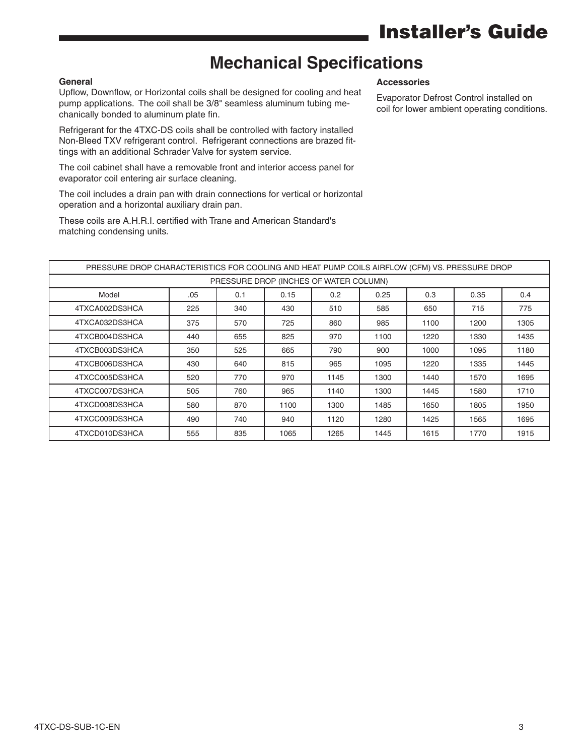## Installer's Guide

## **Mechanical Specifications**

### **General**

Upflow, Downflow, or Horizontal coils shall be designed for cooling and heat pump applications. The coil shall be 3/8" seamless aluminum tubing mechanically bonded to aluminum plate fin.

Refrigerant for the 4TXC-DS coils shall be controlled with factory installed Non-Bleed TXV refrigerant control. Refrigerant connections are brazed fittings with an additional Schrader Valve for system service.

The coil cabinet shall have a removable front and interior access panel for evaporator coil entering air surface cleaning.

The coil includes a drain pan with drain connections for vertical or horizontal operation and a horizontal auxiliary drain pan.

These coils are A.H.R.I. certified with Trane and American Standard's matching condensing units.

#### **Accessories**

Evaporator Defrost Control installed on coil for lower ambient operating conditions.

| PRESSURE DROP CHARACTERISTICS FOR COOLING AND HEAT PUMP COILS AIRFLOW (CFM) VS. PRESSURE DROP |     |     |      |      |      |      |      |      |  |  |  |  |
|-----------------------------------------------------------------------------------------------|-----|-----|------|------|------|------|------|------|--|--|--|--|
| PRESSURE DROP (INCHES OF WATER COLUMN)                                                        |     |     |      |      |      |      |      |      |  |  |  |  |
| Model                                                                                         | .05 | 0.1 | 0.15 | 0.2  | 0.25 | 0.3  | 0.35 | 0.4  |  |  |  |  |
| 4TXCA002DS3HCA                                                                                | 225 | 340 | 430  | 510  | 585  | 650  | 715  | 775  |  |  |  |  |
| 4TXCA032DS3HCA                                                                                | 375 | 570 | 725  | 860  | 985  | 1100 | 1200 | 1305 |  |  |  |  |
| 4TXCB004DS3HCA                                                                                | 440 | 655 | 825  | 970  | 1100 | 1220 | 1330 | 1435 |  |  |  |  |
| 4TXCB003DS3HCA                                                                                | 350 | 525 | 665  | 790  | 900  | 1000 | 1095 | 1180 |  |  |  |  |
| 4TXCB006DS3HCA                                                                                | 430 | 640 | 815  | 965  | 1095 | 1220 | 1335 | 1445 |  |  |  |  |
| 4TXCC005DS3HCA                                                                                | 520 | 770 | 970  | 1145 | 1300 | 1440 | 1570 | 1695 |  |  |  |  |
| 4TXCC007DS3HCA                                                                                | 505 | 760 | 965  | 1140 | 1300 | 1445 | 1580 | 1710 |  |  |  |  |
| 4TXCD008DS3HCA                                                                                | 580 | 870 | 1100 | 1300 | 1485 | 1650 | 1805 | 1950 |  |  |  |  |
| 4TXCC009DS3HCA                                                                                | 490 | 740 | 940  | 1120 | 1280 | 1425 | 1565 | 1695 |  |  |  |  |
| 4TXCD010DS3HCA                                                                                | 555 | 835 | 1065 | 1265 | 1445 | 1615 | 1770 | 1915 |  |  |  |  |